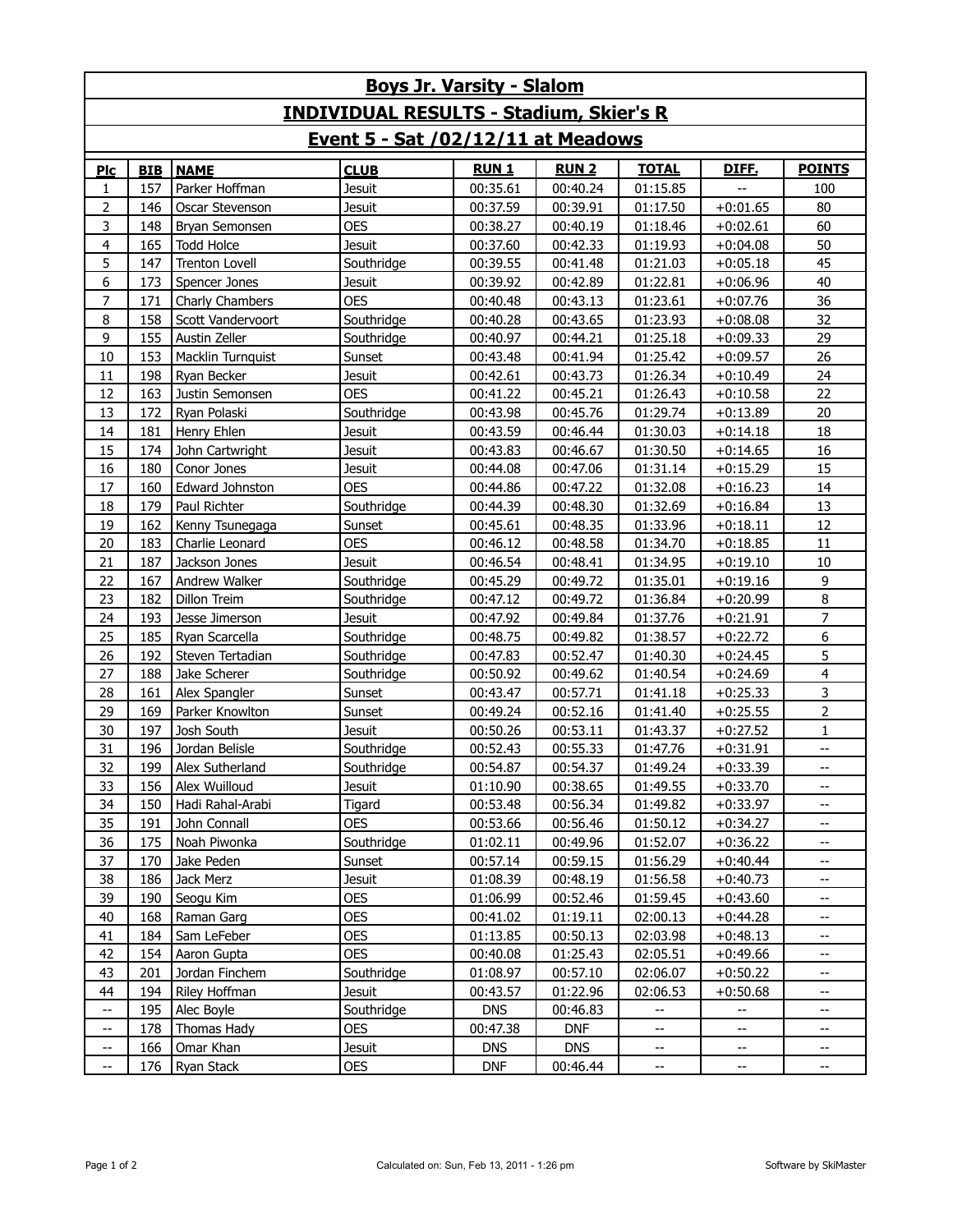| <b>Boys Jr. Varsity - Slalom</b>               |            |                                  |                      |                      |                      |                             |                             |                          |  |  |  |  |  |
|------------------------------------------------|------------|----------------------------------|----------------------|----------------------|----------------------|-----------------------------|-----------------------------|--------------------------|--|--|--|--|--|
| <b>INDIVIDUAL RESULTS - Stadium, Skier's R</b> |            |                                  |                      |                      |                      |                             |                             |                          |  |  |  |  |  |
| <u>Event 5 - Sat /02/12/11 at Meadows</u>      |            |                                  |                      |                      |                      |                             |                             |                          |  |  |  |  |  |
| Plc                                            | <b>BIB</b> | <b>NAME</b>                      | <b>CLUB</b>          | <b>RUN1</b>          | <b>RUN2</b>          | <b>TOTAL</b>                | DIFE.                       | <b>POINTS</b>            |  |  |  |  |  |
| 1                                              | 157        | Parker Hoffman                   | <b>Jesuit</b>        | 00:35.61             | 00:40.24             | 01:15.85                    |                             | 100                      |  |  |  |  |  |
| $\overline{2}$                                 | 146        | Oscar Stevenson                  | Jesuit               | 00:37.59             | 00:39.91             | 01:17.50                    | $+0:01.65$                  | 80                       |  |  |  |  |  |
| 3                                              | 148        | Bryan Semonsen                   | <b>OES</b>           | 00:38.27             | 00:40.19             | 01:18.46                    | $+0:02.61$                  | 60                       |  |  |  |  |  |
| $\overline{4}$                                 | 165        | <b>Todd Holce</b>                | <b>Jesuit</b>        | 00:37.60             | 00:42.33             | 01:19.93                    | $+0:04.08$                  | 50                       |  |  |  |  |  |
| 5                                              | 147        | Trenton Lovell                   | Southridge           | 00:39.55             | 00:41.48             | 01:21.03                    | $+0:05.18$                  | 45                       |  |  |  |  |  |
| 6                                              | 173        | Spencer Jones                    | Jesuit               | 00:39.92             | 00:42.89             | 01:22.81                    | $+0:06.96$                  | 40                       |  |  |  |  |  |
| $\overline{7}$                                 | 171        | Charly Chambers                  | <b>OES</b>           | 00:40.48             | 00:43.13             | 01:23.61                    | $+0:07.76$                  | 36                       |  |  |  |  |  |
| 8                                              | 158        | Scott Vandervoort                | Southridge           | 00:40.28             | 00:43.65             | 01:23.93                    | $+0:08.08$                  | 32                       |  |  |  |  |  |
| 9                                              | 155        | Austin Zeller                    | Southridge           | 00:40.97             | 00:44.21             | 01:25.18                    | $+0:09.33$                  | 29                       |  |  |  |  |  |
| 10                                             | 153        | Macklin Turnquist                | Sunset               | 00:43.48             | 00:41.94             | 01:25.42                    | $+0:09.57$                  | 26                       |  |  |  |  |  |
| 11                                             | 198        | Ryan Becker                      | Jesuit               | 00:42.61             | 00:43.73             | 01:26.34                    | $+0:10.49$                  | 24                       |  |  |  |  |  |
| 12                                             | 163        | Justin Semonsen                  | <b>OES</b>           | 00:41.22             | 00:45.21             | 01:26.43                    | $+0:10.58$                  | 22                       |  |  |  |  |  |
| 13                                             | 172        | Ryan Polaski                     | Southridge           | 00:43.98             | 00:45.76             | 01:29.74                    | $+0:13.89$                  | 20                       |  |  |  |  |  |
| 14                                             | 181        | Henry Ehlen                      | <b>Jesuit</b>        | 00:43.59             | 00:46.44             | 01:30.03                    | $+0:14.18$                  | 18                       |  |  |  |  |  |
| 15                                             | 174        | John Cartwright                  | <b>Jesuit</b>        | 00:43.83             | 00:46.67             | 01:30.50                    | $+0:14.65$                  | 16                       |  |  |  |  |  |
| 16                                             | 180        | Conor Jones                      | Jesuit               | 00:44.08             | 00:47.06             | 01:31.14                    | $+0:15.29$                  | 15                       |  |  |  |  |  |
| 17                                             | 160        | Edward Johnston                  | <b>OES</b>           | 00:44.86             | 00:47.22             | 01:32.08                    | $+0:16.23$                  | 14                       |  |  |  |  |  |
| 18                                             | 179        | Paul Richter                     | Southridge           | 00:44.39             | 00:48.30             | 01:32.69                    | $+0:16.84$                  | 13                       |  |  |  |  |  |
| 19                                             | 162        | Kenny Tsunegaga                  | Sunset               | 00:45.61             | 00:48.35             | 01:33.96                    | $+0:18.11$                  | 12                       |  |  |  |  |  |
| 20                                             | 183        | Charlie Leonard                  | <b>OES</b>           | 00:46.12             | 00:48.58             | 01:34.70                    | $+0:18.85$                  | 11                       |  |  |  |  |  |
| 21                                             | 187        | Jackson Jones                    | <b>Jesuit</b>        | 00:46.54             | 00:48.41             | 01:34.95                    | $+0:19.10$                  | 10                       |  |  |  |  |  |
| 22                                             | 167        | Andrew Walker                    | Southridge           | 00:45.29             | 00:49.72             | 01:35.01                    | $+0:19.16$                  | 9                        |  |  |  |  |  |
| 23                                             | 182        | Dillon Treim                     | Southridge           | 00:47.12             | 00:49.72             | 01:36.84                    | $+0:20.99$                  | 8                        |  |  |  |  |  |
| 24                                             | 193        | Jesse Jimerson                   | <b>Jesuit</b>        | 00:47.92             | 00:49.84             | 01:37.76                    | $+0:21.91$                  | $\overline{7}$           |  |  |  |  |  |
| 25                                             | 185        | Ryan Scarcella                   | Southridge           | 00:48.75             | 00:49.82             | 01:38.57                    | $+0:22.72$                  | 6                        |  |  |  |  |  |
| 26                                             | 192        | Steven Tertadian                 | Southridge           | 00:47.83             | 00:52.47             | 01:40.30                    | $+0:24.45$                  | 5                        |  |  |  |  |  |
| 27                                             | 188        | Jake Scherer                     | Southridge           | 00:50.92             | 00:49.62             | 01:40.54                    | $+0:24.69$                  | $\overline{4}$           |  |  |  |  |  |
| 28                                             | 161        | Alex Spangler                    | Sunset               | 00:43.47             | 00:57.71             | 01:41.18                    | $+0:25.33$                  | 3                        |  |  |  |  |  |
| 29                                             | 169        | Parker Knowlton                  | Sunset               | 00:49.24             | 00:52.16             | 01:41.40                    | $+0:25.55$                  | $\overline{2}$           |  |  |  |  |  |
| 30<br>31                                       | 197<br>196 | Josh South                       | <b>Jesuit</b>        | 00:50.26             | 00:53.11<br>00:55.33 | 01:43.37<br>01:47.76        | $+0:27.52$                  | 1                        |  |  |  |  |  |
| 32                                             | 199        | Jordan Belisle                   | Southridge           | 00:52.43             |                      |                             | $+0:31.91$                  | --                       |  |  |  |  |  |
| 33                                             | 156        | Alex Sutherland<br>Alex Wuilloud | Southridge<br>Jesuit | 00:54.87<br>01:10.90 | 00:54.37<br>00:38.65 | 01:49.24<br>01:49.55        | $+0:33.39$<br>$+0:33.70$    | --<br>--                 |  |  |  |  |  |
| 34                                             | 150        | Hadi Rahal-Arabi                 | Tigard               | 00:53.48             | 00:56.34             | 01:49.82                    | $+0:33.97$                  | --                       |  |  |  |  |  |
| 35                                             | 191        | John Connall                     | <b>OES</b>           | 00:53.66             | 00:56.46             | 01:50.12                    | $+0:34.27$                  | --                       |  |  |  |  |  |
| 36                                             | 175        | Noah Piwonka                     | Southridge           | 01:02.11             | 00:49.96             | 01:52.07                    | $+0:36.22$                  | --                       |  |  |  |  |  |
| 37                                             | 170        | Jake Peden                       | Sunset               | 00:57.14             | 00:59.15             | 01:56.29                    | $+0:40.44$                  | $- -$                    |  |  |  |  |  |
| 38                                             | 186        | Jack Merz                        | Jesuit               | 01:08.39             | 00:48.19             | 01:56.58                    | $+0:40.73$                  | --                       |  |  |  |  |  |
| 39                                             | 190        | Seogu Kim                        | <b>OES</b>           | 01:06.99             | 00:52.46             | 01:59.45                    | $+0:43.60$                  | $- -$                    |  |  |  |  |  |
| 40                                             | 168        | Raman Garg                       | <b>OES</b>           | 00:41.02             | 01:19.11             | 02:00.13                    | $+0:44.28$                  | --                       |  |  |  |  |  |
| 41                                             | 184        | Sam LeFeber                      | <b>OES</b>           | 01:13.85             | 00:50.13             | 02:03.98                    | $+0:48.13$                  | $- -$                    |  |  |  |  |  |
| 42                                             | 154        | Aaron Gupta                      | <b>OES</b>           | 00:40.08             | 01:25.43             | 02:05.51                    | $+0:49.66$                  | --                       |  |  |  |  |  |
| 43                                             | 201        | Jordan Finchem                   | Southridge           | 01:08.97             | 00:57.10             | 02:06.07                    | $+0:50.22$                  | --                       |  |  |  |  |  |
| 44                                             | 194        | Riley Hoffman                    | Jesuit               | 00:43.57             | 01:22.96             | 02:06.53                    | $+0:50.68$                  | $- -$                    |  |  |  |  |  |
| $\hspace{0.05cm}$ – $\hspace{0.05cm}$          | 195        | Alec Boyle                       | Southridge           | <b>DNS</b>           | 00:46.83             | --                          | --                          | --                       |  |  |  |  |  |
| $\overline{\phantom{a}}$                       | 178        | Thomas Hady                      | <b>OES</b>           | 00:47.38             | <b>DNF</b>           | $\overline{\phantom{a}}$    | $\overline{\phantom{a}}$    | $- -$                    |  |  |  |  |  |
| --                                             | 166        | Omar Khan                        | Jesuit               | <b>DNS</b>           | <b>DNS</b>           | --                          | --                          | --                       |  |  |  |  |  |
| $\mathrel{{-}-}$                               | 176        | Ryan Stack                       | <b>OES</b>           | <b>DNF</b>           | 00:46.44             | $\mathcal{L}_{\mathcal{F}}$ | $\mathcal{L}_{\mathcal{F}}$ | $\overline{\phantom{a}}$ |  |  |  |  |  |